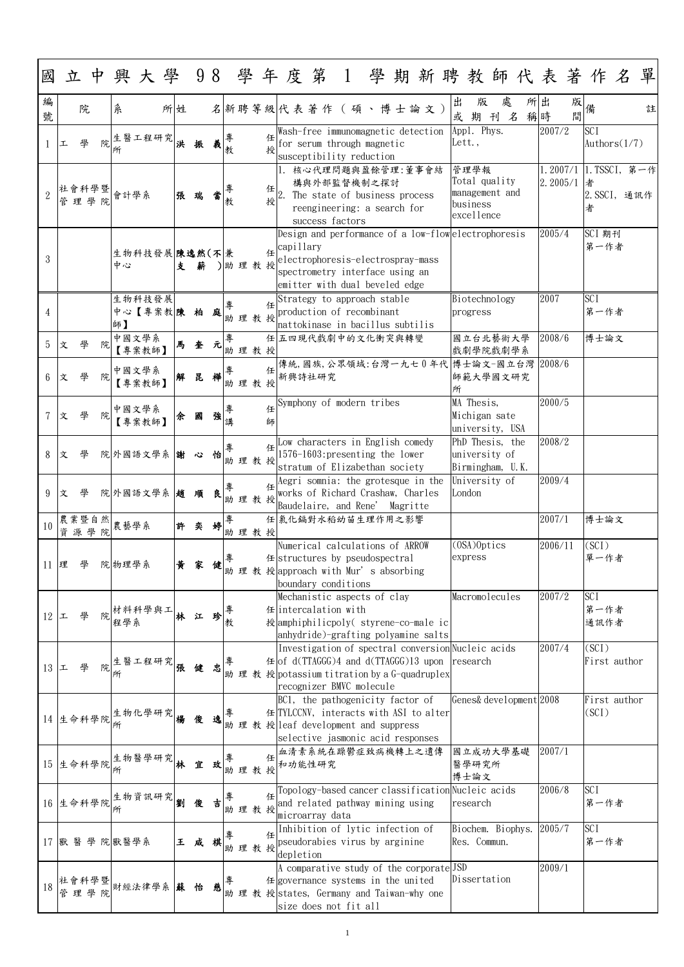1

| 國              |   |               |   |                 |                          |    |    |   |                |        |        |                                                                                                                                                                                         |                                                                                                |  |  |        |                                |                                                      |          | 立中興大學 98 學年度第 1 學期新聘教師代表著作名          |                            |                 | 單 |
|----------------|---|---------------|---|-----------------|--------------------------|----|----|---|----------------|--------|--------|-----------------------------------------------------------------------------------------------------------------------------------------------------------------------------------------|------------------------------------------------------------------------------------------------|--|--|--------|--------------------------------|------------------------------------------------------|----------|--------------------------------------|----------------------------|-----------------|---|
| 編<br>號         |   | 院             |   | 糸               |                          | 所姓 |    |   |                |        |        | 名新聘等級代表著作(碩、博士論文)                                                                                                                                                                       |                                                                                                |  |  | 出<br>或 | 版<br>期                         | 處<br>$\mathcal{Z}$<br>刊                              | 所出<br>稱時 | 版<br>間                               |                            |                 | 註 |
|                | 工 |               | 院 |                 | 生醫工程研究                   | 洪  |    |   | 教              |        |        | Wash-free immunomagnetic detection<br>for serum through magnetic<br>susceptibility reduction                                                                                            |                                                                                                |  |  | Lett., | Appl. Phys.                    |                                                      |          | 2007/2                               | <b>SCI</b>                 | Authors $(1/7)$ |   |
|                |   | 管理學院          |   | 社會科學暨 會計學系      |                          |    | 張瑞 | 當 | 教              |        | 任<br>授 | 1. 核心代理問題與盈餘管理:董事會結                                                                                                                                                                     | 構與外部監督機制之探討<br>The state of business process<br>reengineering: a search for<br>success factors |  |  |        | 管理學報<br>business<br>excellence | Total quality<br>management and                      |          | 1.2007/1  1.TSSCI,第一作 <br>2.2005/1 者 | 者                          | 2. SSCI, 通訊作    |   |
| 3              |   |               |   | 中心              | 生物科技發展陳逸然(不 兼            | 支  | 薪  |   |                | ) 助理教授 |        | Design and performance of a low-flowelectrophoresis<br>$E^{\text{capillary}}$<br>electrophoresis-electrospray-mass<br>spectrometry interface using an<br>emitter with dual beveled edge |                                                                                                |  |  |        |                                |                                                      |          | 2005/4                               | SCI 期刊<br>第一作者             |                 |   |
| $\overline{4}$ |   |               |   | 師】              | 生物科技發展<br>中心【專案教陳        |    | 柏  | 庭 |                | 助理教授   |        | Strategy to approach stable<br>production of recombinant<br>nattokinase in bacillus subtilis                                                                                            |                                                                                                |  |  |        | progress                       | Biotechnology                                        | 2007     |                                      | <b>SCI</b><br>第一作者         |                 |   |
| 5              | 文 | 學             | 院 |                 | 中國文學系<br>【專案教師】          | 馬  | 奎元 |   |                | 助理教授   |        | 任五四現代戲劇中的文化衝突與轉變                                                                                                                                                                        |                                                                                                |  |  |        |                                | 國立台北藝術大學<br>戲劇學院戲劇學系                                 |          | 2008/6                               | 博士論文                       |                 |   |
| 6              | 文 | 學             | 院 |                 | 中國文學系<br>【專案教師】          | 解  | 昆  | 樺 | 專              | 助理教授   | 任      | 傳統,國族,公眾領域:台灣一九七0年代 博士論文-國立台灣<br>新興詩社研究                                                                                                                                                 |                                                                                                |  |  | 所      |                                | 師範大學國文研究                                             |          | 2008/6                               |                            |                 |   |
|                | 文 |               | 院 |                 | 中國文學系<br>【專案教師】          | 余  | 國  | 強 | 專<br>洼<br>47 T |        | 任<br>師 | Symphony of modern tribes                                                                                                                                                               |                                                                                                |  |  |        | MA Thesis,                     | Michigan sate<br>university, USA                     |          | 2000/5                               |                            |                 |   |
| 8              | 文 | 學             |   |                 | 院外國語文學系 謝 心              |    |    | 怡 |                | 助理教授   | 任      | Low characters in English comedy<br>1576-1603: presenting the lower<br>stratum of Elizabethan society                                                                                   |                                                                                                |  |  |        |                                | PhD Thesis, the<br>university of<br>Birmingham, U.K. |          | 2008/2                               |                            |                 |   |
| 9              | 文 | 學             |   |                 | 院外國語文學系 趙 順              |    |    | 良 |                | 助理教授   |        | Aegri somnia: the grotesque in the<br>works of Richard Crashaw, Charles<br>Baudelaire, and Rene' Magritte                                                                               |                                                                                                |  |  | London |                                | University of                                        |          | 2009/4                               |                            |                 |   |
| 10             |   | 農業暨自然<br>資源學院 |   | 農藝學系            |                          | 許  | 奕  | 婷 |                | 助理教授   |        | 任系化鎘對水稻幼苗生理作用之影響                                                                                                                                                                        |                                                                                                |  |  |        |                                |                                                      |          | 2007/1                               | 博士論文                       |                 |   |
| 11 理           |   | 學             |   | 院物理學系           |                          | 黄  | 家  | 健 |                |        |        | Numerical calculations of ARROW<br>任 structures by pseudospectral<br>助理教授approach with Mur's absorbing<br>boundary conditions                                                           |                                                                                                |  |  |        | $(OSA)$ Optics<br>express      |                                                      |          | 2006/11                              | (SCI)<br>單一作者              |                 |   |
| 12             | 工 |               |   |                 | 材料科學與工 林江 珍              |    |    |   |                |        |        | Mechanistic aspects of clay<br>任 intercalation with<br>授amphiphilicpoly (styrene-co-male ic<br>anhydride)-grafting polyamine salts                                                      |                                                                                                |  |  |        |                                | Macromolecules                                       |          | 2007/2                               | <b>SCI</b><br>第一作者<br>通訊作者 |                 |   |
| 13 $\vert$     |   | 學             | 院 |                 | 生醫工程研究                   |    | 健  | 忠 |                |        |        | Investigation of spectral conversion Nucleic acids<br>$\#$ of d(TTAGGG)4 and d(TTAGGG)13 upon research<br>助理教授potassium titration by a G-quadruplex<br>recognizer BMVC molecule         |                                                                                                |  |  |        |                                |                                                      |          | 2007/4                               | (SCI)                      | First author    |   |
|                |   |               |   |                 | 14 生命科學院 生物化學研究          |    |    | 逸 |                |        |        | BC1, the pathogenicity factor of<br>任 TYLCCNV, interacts with ASI to alter<br>助理教授 leaf development and suppress<br>selective jasmonic acid responses                                   |                                                                                                |  |  |        |                                | Genes& development 2008                              |          |                                      | (SCI)                      | First author    |   |
|                |   | 15 生命科學院      |   |                 | 生物醫學研究                   |    | 宜  | 玫 |                | 助理教授   |        | 血清素系統在躁鬱症致病機轉上之遺傳<br>和功能性研究                                                                                                                                                             |                                                                                                |  |  |        | 醫學研究所<br>博士論文                  | 國立成功大學基礎                                             |          | 2007/1                               |                            |                 |   |
|                |   |               |   |                 | 16 生命科學院 生物資訊研究          | 劉  | 俊  | 吉 |                | 助理教授   |        | 任 Topology-based cancer classification Nucleic acids<br>and related pathway mining using<br>microarray data                                                                             |                                                                                                |  |  |        | research                       |                                                      |          | 2006/8                               | <b>SCI</b><br>第一作者         |                 |   |
|                |   |               |   | 17 獸 醫 學 院 獸醫學系 |                          |    | 王咸 | 棋 |                | 助理教授   | 任      | Inhibition of lytic infection of<br>pseudorabies virus by arginine<br>depletion                                                                                                         |                                                                                                |  |  |        | Res. Commun.                   | Biochem. Biophys.                                    |          | 2005/7                               | <b>SCI</b><br>第一作者         |                 |   |
|                |   |               |   |                 | 社會科學暨<br>管理學院 財經法律學系 蘇 怡 |    |    | 慈 | 專              |        |        | A comparative study of the corporate JSD<br>任 governance systems in the united<br>助 理 教 授 states, Germany and Taiwan-why one<br>size does not fit all                                   |                                                                                                |  |  |        |                                | Dissertation                                         |          | 2009/1                               |                            |                 |   |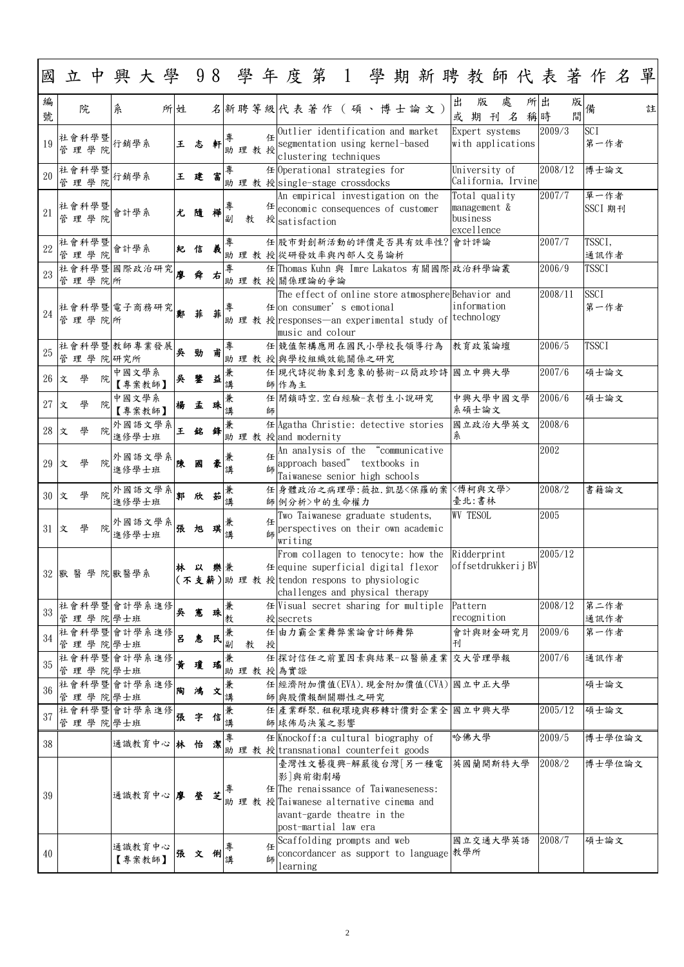| 國           |                        |   |        |                  |    |   |      |                          |        |      |   |          |                                                                                                                                                                       |  |  |                                                         |        |                                     |   |  |          |                 |         | 立中興大學 98 學年度第 1 學期新聘教師代表著作名 | 單 |
|-------------|------------------------|---|--------|------------------|----|---|------|--------------------------|--------|------|---|----------|-----------------------------------------------------------------------------------------------------------------------------------------------------------------------|--|--|---------------------------------------------------------|--------|-------------------------------------|---|--|----------|-----------------|---------|-----------------------------|---|
| 編<br>號      | 院                      |   | 糸      |                  | 所姓 |   |      |                          |        |      |   |          | 名新聘等級代表著作(碩、博士論文)                                                                                                                                                     |  |  |                                                         | 出<br>或 | 版<br>期刊名                            | 處 |  | 所出<br>稱時 |                 | 成備<br>間 |                             | 註 |
| 19          | 社會科學暨<br>理學院<br>管      |   | 行銷學系   |                  |    | 王 | 志    | 軒                        | 專      | 助理教授 | 任 |          | Outlier identification and market<br>segmentation using kernel-based<br>clustering techniques                                                                         |  |  |                                                         |        | Expert systems<br>with applications |   |  |          | 2009/3          |         | <b>SCI</b><br>第一作者          |   |
| 20          | 社會科學暨<br>行銷學系<br>管理學院  |   |        |                  |    |   | 王建   | 富                        | 專      |      |   |          | 任 Operational strategies for<br>助理教授 single-stage crossdocks                                                                                                          |  |  |                                                         |        | University of<br>California, Irvine |   |  |          | 2008/12         |         | 博士論文                        |   |
| 21          | 社會科學暨<br>管理學院          |   | 會計學系   |                  |    | 尤 | 隨    | 樺                        | 專<br>副 | 教    |   |          | An empirical investigation on the<br>$# $ economic consequences of customer<br>授 <sub>satisfaction</sub>                                                              |  |  | Total quality<br>management &<br>business<br>excellence |        |                                     |   |  | 2007/7   | 單一作者<br>SSCI 期刊 |         |                             |   |
| 22          | 社會科學暨<br>管理學院          |   | 會計學系   |                  |    | 紀 | 信    | 羲                        | 專      |      |   |          | 任 股市對創新活動的評價是否具有效率性? 會計評論<br>助理教授 從研發效率與內部人交易論析                                                                                                                       |  |  |                                                         |        |                                     |   |  |          | 2007/7          |         | TSSCI,<br>通訊作者              |   |
| 23          | 社會科學暨國際政治研究<br>管理學院所   |   |        |                  |    | 廖 | 舜    | 右                        | 專      |      |   |          | 任 Thomas Kuhn 與 Imre Lakatos 有關國際 政治科學論叢<br>助理教授關係理論的爭論                                                                                                               |  |  |                                                         |        |                                     |   |  |          | 2006/9          |         | <b>TSSCI</b>                |   |
| 24          | 社會科學暨 電子商務研究<br>管理學院所  |   |        |                  |    | 鄭 | 菲    | 菲                        | 專      |      |   |          | The effect of online store atmosphereBehavior and<br>任 on consumer' s emotional<br> 助 理 教 授 responses—an experimental study of technology<br>music and colour         |  |  |                                                         |        | information                         |   |  |          | 2008/11         |         | <b>SSCI</b><br>第一作者         |   |
| 25          | 社會科學暨教師專業發展<br>管理學院研究所 |   |        |                  |    | 吳 | 勁    | 甫                        | 專      |      |   |          | 任 競值架構應用在國民小學校長領導行為<br>助理教授與學校組織效能關係之研究                                                                                                                               |  |  |                                                         |        | 教育政策論壇                              |   |  |          | 2006/5          |         | <b>TSSCI</b>                |   |
| 26          | 學<br>文                 | 院 |        | 中國文學系<br>【專案教師】  |    | 吳 | 鑒    | 益                        | 講      |      |   | 師作為主     | 任 現代詩從物象到意象的藝術-以簡政珍詩 國立中興大學                                                                                                                                           |  |  |                                                         |        |                                     |   |  |          | 2007/6          |         | 碩士論文                        |   |
| $27 \times$ | 學                      | 院 |        | 中國文學系<br>【專案教師】  |    | 楊 | 孟    | 珠                        | 兼<br>講 |      | 師 |          | 任 閉鎖時空.空白經驗-袁哲生小說研究                                                                                                                                                   |  |  |                                                         |        | 中興大學中國文學<br>系碩士論文                   |   |  |          | 2006/6          |         | 碩士論文                        |   |
| $28 \times$ |                        |   | 外國語文學系 | 進修學士班            |    | 王 | 銘    | 鋒 $\vert^{\textstyle\#}$ | 诋      |      |   |          | 任Agatha Christie: detective stories   國立政治大學英文   2008/6<br>助理教授 and modernity                                                                                         |  |  |                                                         | 糸      |                                     |   |  |          |                 |         |                             |   |
| 29 文        | 學                      |   | 外國語文學系 | 進修學士班            |    |   | 國    | 豪                        | 兼<br>講 |      | 師 |          | An analysis of the "communicative<br>approach based" textbooks in<br>Taiwanese senior high schools                                                                    |  |  |                                                         |        |                                     |   |  |          | 2002            |         |                             |   |
| 30 文        |                        |   |        | 外國語文學系<br>進修學士班  |    | 郭 | 欣    | 茹                        | 兼<br>講 |      |   |          | 任 身體政治之病理學:薇拉.凱瑟〈保羅的案 〈傅柯與文學〉<br>師 例分析>中的生命權力                                                                                                                         |  |  |                                                         |        | 臺北:書林                               |   |  |          | 2008/2          |         | 書籍論文                        |   |
| 31 文        | 學                      |   |        | 外國語文學系<br>進修學士班  |    | 張 | 旭    | 琪                        | 兼<br>講 |      | 師 | writing  | Two Taiwanese graduate students,<br>perspectives on their own academic                                                                                                |  |  |                                                         |        | <b>WV TESOL</b>                     |   |  |          | 2005            |         |                             |   |
|             | 32 獸 醫 學 院 獸醫學系        |   |        |                  |    | 林 | 以 樂兼 |                          |        |      |   |          | From collagen to tenocyte: how the<br>任 equine superficial digital flexor<br>(不支薪)助 理 教 授 tendon respons to physiologic<br>challenges and physical therapy            |  |  |                                                         |        | Ridderprint<br>offsetdrukkerijBV    |   |  |          | 2005/12         |         |                             |   |
| 33          | 社會科學暨會計學系進修<br>管理學院學士班 |   |        |                  |    | 吳 | 憲    | 珠                        | 兼<br>教 |      |   | 授secrets | $#$ Visual secret sharing for multiple                                                                                                                                |  |  |                                                         |        | Pattern<br>recognition              |   |  |          | 2008/12         |         | 第二作者<br>通訊作者                |   |
| 34          | 社會科學暨會計學系進修<br>管理學院學士班 |   |        |                  |    | E | 惠    | 民                        | 兼<br>副 | 教    | 授 |          | 任由力霸企業舞弊案論會計師舞弊                                                                                                                                                       |  |  |                                                         | 刊      | 會計與財金研究月                            |   |  |          | 2009/6          |         | 第一作者                        |   |
| 35          | 社會科學暨會計學系進修<br>管理學院學士班 |   |        |                  |    | 黄 | 瓊    | 瑶                        | 兼      |      |   | 助理教授為實證  | 任探討信任之前置因素與結果-以醫藥產業 交大管理學報                                                                                                                                            |  |  |                                                         |        |                                     |   |  |          | 2007/6          |         | 通訊作者                        |   |
| 36          | 社會科學暨會計學系進修<br>管       |   | 理學院學士班 |                  |    | 陶 | 鴻    | 文                        | 兼<br>講 |      |   |          | 任 經濟附加價值(EVA). 現金附加價值(CVA) 國立中正大學<br>師與股價報酬關聯性之研究                                                                                                                     |  |  |                                                         |        |                                     |   |  |          |                 |         | 碩士論文                        |   |
| 37          | 社會科學暨會計學系進修<br>管理學院學士班 |   |        |                  |    | 張 | 字    | 信                        | 兼<br>講 |      |   |          | 任 產業群聚. 租稅環境與移轉計價對企業全 國立中興大學<br>師 球佈局決策之影響                                                                                                                            |  |  |                                                         |        |                                     |   |  |          | 2005/12         |         | 碩士論文                        |   |
| 38          |                        |   |        | 通識教育中心 林 怡       |    |   |      | 瀿                        | 專      |      |   |          | 任Knockoff:a cultural biography of<br>助理教授transnational counterfeit goods                                                                                              |  |  |                                                         |        | 哈佛大學                                |   |  |          | 2009/5          |         | 博士學位論文                      |   |
| 39          |                        |   |        | 通識教育中心 廖 瑩       |    |   |      | 芝                        | 重      |      |   |          | 臺灣性文藝復興-解嚴後台灣[另一種電<br>影 與前衛劇場<br>任The renaissance of Taiwaneseness:<br>助 理 教 授 Taiwanese alternative cinema and<br>avant-garde theatre in the<br>post-martial law era |  |  |                                                         |        | 英國蘭開斯特大學                            |   |  |          | 2008/2          |         | 博士學位論文                      |   |
| 40          |                        |   |        | 通識教育中心<br>【專案教師】 |    |   | 張文俐講 |                          |        |      | 師 | learning | Scaffolding prompts and web<br>concordancer as support to language 教學所                                                                                                |  |  |                                                         |        | 國立交通大學英語                            |   |  |          | 2008/7          |         | 碩士論文                        |   |